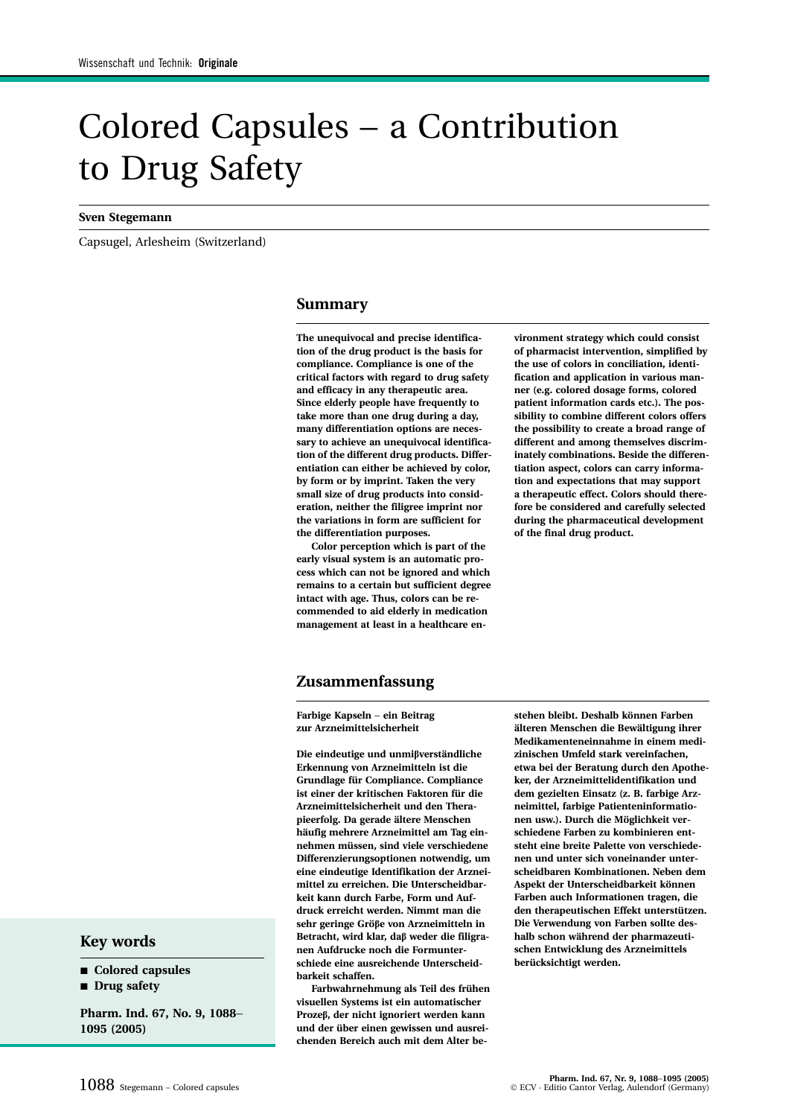# Colored Capsules − a Contribution to Drug Safety

#### **Sven Stegemann**

Capsugel, Arlesheim (Switzerland)

## **Summary**

**The unequivocal and precise identification of the drug product is the basis for compliance. Compliance is one of the critical factors with regard to drug safety and efficacy in any therapeutic area. Since elderly people have frequently to take more than one drug during a day, many differentiation options are necessary to achieve an unequivocal identification of the different drug products. Differentiation can either be achieved by color, by form or by imprint. Taken the very small size of drug products into consideration, neither the filigree imprint nor the variations in form are sufficient for the differentiation purposes.**

**Color perception which is part of the early visual system is an automatic process which can not be ignored and which remains to a certain but sufficient degree intact with age. Thus, colors can be recommended to aid elderly in medication management at least in a healthcare en-**

**vironment strategy which could consist of pharmacist intervention, simplified by the use of colors in conciliation, identification and application in various manner (e.g. colored dosage forms, colored patient information cards etc.). The possibility to combine different colors offers the possibility to create a broad range of different and among themselves discriminately combinations. Beside the differentiation aspect, colors can carry information and expectations that may support a therapeutic effect. Colors should therefore be considered and carefully selected during the pharmaceutical development of the final drug product.**

## **Zusammenfassung**

**Farbige Kapseln** − **ein Beitrag zur Arzneimittelsicherheit**

**Die eindeutige und unmiβverständliche Erkennung von Arzneimitteln ist die Grundlage für Compliance. Compliance ist einer der kritischen Faktoren für die Arzneimittelsicherheit und den Therapieerfolg. Da gerade ältere Menschen häufig mehrere Arzneimittel am Tag einnehmen müssen, sind viele verschiedene Differenzierungsoptionen notwendig, um eine eindeutige Identifikation der Arzneimittel zu erreichen. Die Unterscheidbarkeit kann durch Farbe, Form und Aufdruck erreicht werden. Nimmt man die sehr geringe Gröβe von Arzneimitteln in Betracht, wird klar, daβ weder die filigranen Aufdrucke noch die Formunterschiede eine ausreichende Unterscheidbarkeit schaffen.**

**Farbwahrnehmung als Teil des frühen visuellen Systems ist ein automatischer Prozeβ, der nicht ignoriert werden kann und der über einen gewissen und ausreichenden Bereich auch mit dem Alter be-**

**stehen bleibt. Deshalb können Farben älteren Menschen die Bewältigung ihrer Medikamenteneinnahme in einem medizinischen Umfeld stark vereinfachen, etwa bei der Beratung durch den Apotheker, der Arzneimittelidentifikation und dem gezielten Einsatz (z. B. farbige Arzneimittel, farbige Patienteninformationen usw.). Durch die Möglichkeit verschiedene Farben zu kombinieren entsteht eine breite Palette von verschiedenen und unter sich voneinander unterscheidbaren Kombinationen. Neben dem Aspekt der Unterscheidbarkeit können Farben auch Informationen tragen, die den therapeutischen Effekt unterstützen. Die Verwendung von Farben sollte deshalb schon während der pharmazeutischen Entwicklung des Arzneimittels berücksichtigt werden.**

## **Key words**

- Colored capsules
- **Drug safety**

**Pharm. Ind. 67, No. 9, 1088**− **1095 (2005)**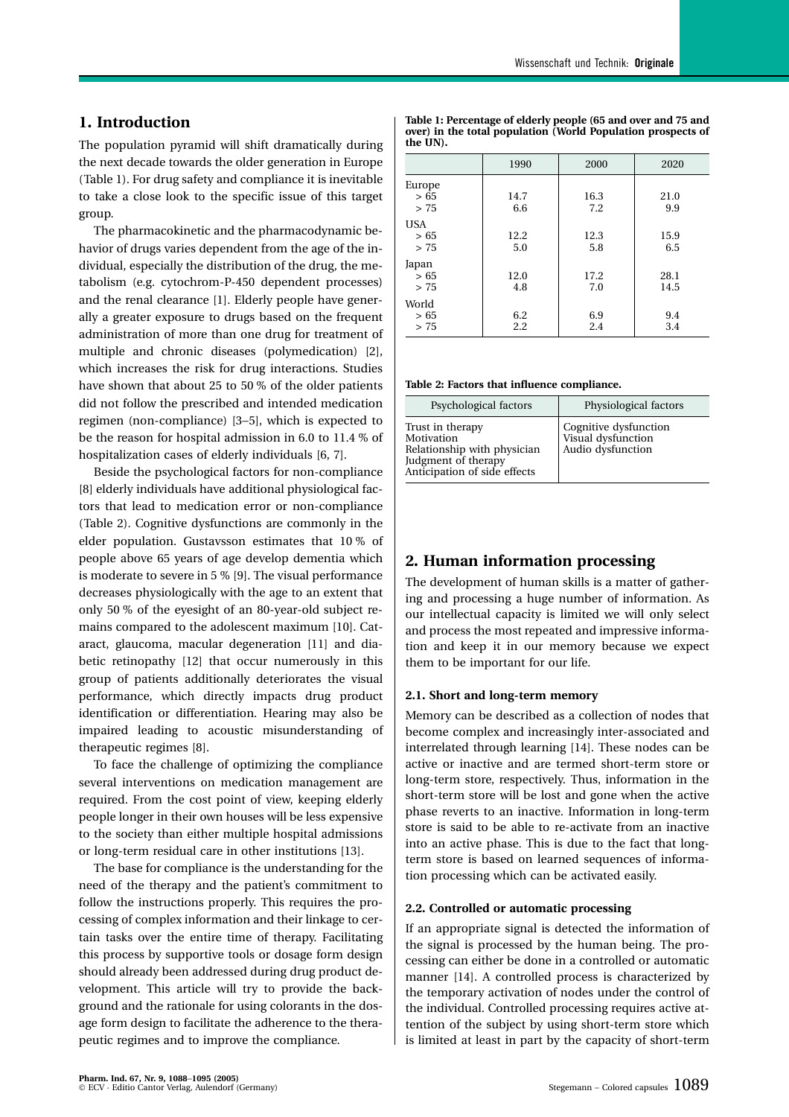## **1. Introduction**

The population pyramid will shift dramatically during the next decade towards the older generation in Europe (Table 1). For drug safety and compliance it is inevitable to take a close look to the specific issue of this target group.

The pharmacokinetic and the pharmacodynamic behavior of drugs varies dependent from the age of the individual, especially the distribution of the drug, the metabolism (e.g. cytochrom-P-450 dependent processes) and the renal clearance [1]. Elderly people have generally a greater exposure to drugs based on the frequent administration of more than one drug for treatment of multiple and chronic diseases (polymedication) [2], which increases the risk for drug interactions. Studies have shown that about 25 to 50 % of the older patients did not follow the prescribed and intended medication regimen (non-compliance) [3−5], which is expected to be the reason for hospital admission in 6.0 to 11.4 % of hospitalization cases of elderly individuals [6, 7].

Beside the psychological factors for non-compliance [8] elderly individuals have additional physiological factors that lead to medication error or non-compliance (Table 2). Cognitive dysfunctions are commonly in the elder population. Gustavsson estimates that 10 % of people above 65 years of age develop dementia which is moderate to severe in 5 % [9]. The visual performance decreases physiologically with the age to an extent that only 50 % of the eyesight of an 80-year-old subject remains compared to the adolescent maximum [10]. Cataract, glaucoma, macular degeneration [11] and diabetic retinopathy [12] that occur numerously in this group of patients additionally deteriorates the visual performance, which directly impacts drug product identification or differentiation. Hearing may also be impaired leading to acoustic misunderstanding of therapeutic regimes [8].

To face the challenge of optimizing the compliance several interventions on medication management are required. From the cost point of view, keeping elderly people longer in their own houses will be less expensive to the society than either multiple hospital admissions or long-term residual care in other institutions [13].

The base for compliance is the understanding for the need of the therapy and the patient's commitment to follow the instructions properly. This requires the processing of complex information and their linkage to certain tasks over the entire time of therapy. Facilitating this process by supportive tools or dosage form design should already been addressed during drug product development. This article will try to provide the background and the rationale for using colorants in the dosage form design to facilitate the adherence to the therapeutic regimes and to improve the compliance.

| the UN).                   |             |             |              |  |  |  |
|----------------------------|-------------|-------------|--------------|--|--|--|
|                            | 1990        | 2000        | 2020         |  |  |  |
| Europe<br>> 65<br>> 75     | 14.7<br>6.6 | 16.3<br>7.2 | 21.0<br>9.9  |  |  |  |
| <b>USA</b><br>> 65<br>> 75 | 12.2<br>5.0 | 12.3<br>5.8 | 15.9<br>6.5  |  |  |  |
| Japan<br>> 65<br>> 75      | 12.0<br>4.8 | 17.2<br>7.0 | 28.1<br>14.5 |  |  |  |

 $> 65$  (6.2 (6.9 ) 9.4  $> 75$  2.2 2.4 3.4

**Table 1: Percentage of elderly people (65 and over and 75 and over) in the total population (World Population prospects of the UN).**

**Table 2: Factors that influence compliance.**

World

| Psychological factors                                                                                                | Physiological factors                                            |
|----------------------------------------------------------------------------------------------------------------------|------------------------------------------------------------------|
| Trust in therapy<br>Motivation<br>Relationship with physician<br>Judgment of therapy<br>Anticipation of side effects | Cognitive dysfunction<br>Visual dysfunction<br>Audio dysfunction |

# **2. Human information processing**

The development of human skills is a matter of gathering and processing a huge number of information. As our intellectual capacity is limited we will only select and process the most repeated and impressive information and keep it in our memory because we expect them to be important for our life.

## **2.1. Short and long-term memory**

Memory can be described as a collection of nodes that become complex and increasingly inter-associated and interrelated through learning [14]. These nodes can be active or inactive and are termed short-term store or long-term store, respectively. Thus, information in the short-term store will be lost and gone when the active phase reverts to an inactive. Information in long-term store is said to be able to re-activate from an inactive into an active phase. This is due to the fact that longterm store is based on learned sequences of information processing which can be activated easily.

## **2.2. Controlled or automatic processing**

If an appropriate signal is detected the information of the signal is processed by the human being. The processing can either be done in a controlled or automatic manner [14]. A controlled process is characterized by the temporary activation of nodes under the control of the individual. Controlled processing requires active attention of the subject by using short-term store which is limited at least in part by the capacity of short-term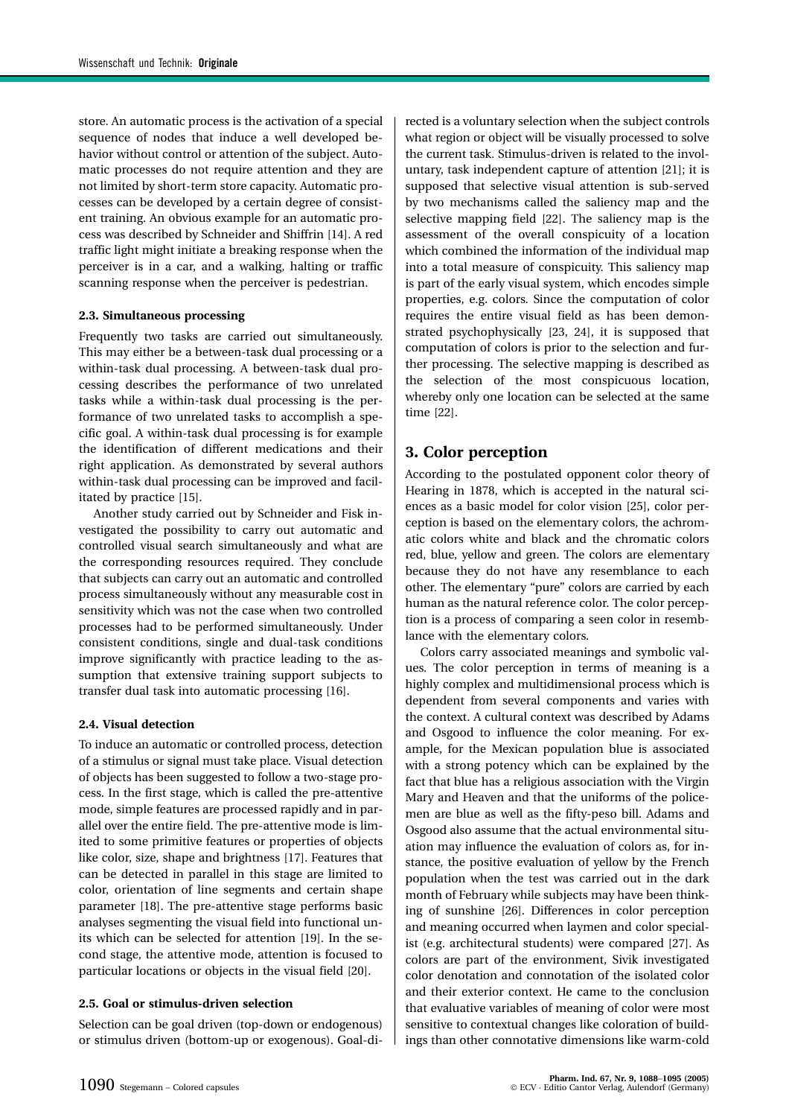store. An automatic process is the activation of a special sequence of nodes that induce a well developed behavior without control or attention of the subject. Automatic processes do not require attention and they are not limited by short-term store capacity. Automatic processes can be developed by a certain degree of consistent training. An obvious example for an automatic process was described by Schneider and Shiffrin [14]. A red traffic light might initiate a breaking response when the perceiver is in a car, and a walking, halting or traffic scanning response when the perceiver is pedestrian.

#### **2.3. Simultaneous processing**

Frequently two tasks are carried out simultaneously. This may either be a between-task dual processing or a within-task dual processing. A between-task dual processing describes the performance of two unrelated tasks while a within-task dual processing is the performance of two unrelated tasks to accomplish a specific goal. A within-task dual processing is for example the identification of different medications and their right application. As demonstrated by several authors within-task dual processing can be improved and facilitated by practice [15].

Another study carried out by Schneider and Fisk investigated the possibility to carry out automatic and controlled visual search simultaneously and what are the corresponding resources required. They conclude that subjects can carry out an automatic and controlled process simultaneously without any measurable cost in sensitivity which was not the case when two controlled processes had to be performed simultaneously. Under consistent conditions, single and dual-task conditions improve significantly with practice leading to the assumption that extensive training support subjects to transfer dual task into automatic processing [16].

## **2.4. Visual detection**

To induce an automatic or controlled process, detection of a stimulus or signal must take place. Visual detection of objects has been suggested to follow a two-stage process. In the first stage, which is called the pre-attentive mode, simple features are processed rapidly and in parallel over the entire field. The pre-attentive mode is limited to some primitive features or properties of objects like color, size, shape and brightness [17]. Features that can be detected in parallel in this stage are limited to color, orientation of line segments and certain shape parameter [18]. The pre-attentive stage performs basic analyses segmenting the visual field into functional units which can be selected for attention [19]. In the second stage, the attentive mode, attention is focused to particular locations or objects in the visual field [20].

## **2.5. Goal or stimulus-driven selection**

Selection can be goal driven (top-down or endogenous) or stimulus driven (bottom-up or exogenous). Goal-directed is a voluntary selection when the subject controls what region or object will be visually processed to solve the current task. Stimulus-driven is related to the involuntary, task independent capture of attention [21]; it is supposed that selective visual attention is sub-served by two mechanisms called the saliency map and the selective mapping field [22]. The saliency map is the assessment of the overall conspicuity of a location which combined the information of the individual map into a total measure of conspicuity. This saliency map is part of the early visual system, which encodes simple properties, e.g. colors. Since the computation of color requires the entire visual field as has been demonstrated psychophysically [23, 24], it is supposed that computation of colors is prior to the selection and further processing. The selective mapping is described as the selection of the most conspicuous location, whereby only one location can be selected at the same time [22].

# **3. Color perception**

According to the postulated opponent color theory of Hearing in 1878, which is accepted in the natural sciences as a basic model for color vision [25], color perception is based on the elementary colors, the achromatic colors white and black and the chromatic colors red, blue, yellow and green. The colors are elementary because they do not have any resemblance to each other. The elementary "pure" colors are carried by each human as the natural reference color. The color perception is a process of comparing a seen color in resemblance with the elementary colors.

Colors carry associated meanings and symbolic values. The color perception in terms of meaning is a highly complex and multidimensional process which is dependent from several components and varies with the context. A cultural context was described by Adams and Osgood to influence the color meaning. For example, for the Mexican population blue is associated with a strong potency which can be explained by the fact that blue has a religious association with the Virgin Mary and Heaven and that the uniforms of the policemen are blue as well as the fifty-peso bill. Adams and Osgood also assume that the actual environmental situation may influence the evaluation of colors as, for instance, the positive evaluation of yellow by the French population when the test was carried out in the dark month of February while subjects may have been thinking of sunshine [26]. Differences in color perception and meaning occurred when laymen and color specialist (e.g. architectural students) were compared [27]. As colors are part of the environment, Sivik investigated color denotation and connotation of the isolated color and their exterior context. He came to the conclusion that evaluative variables of meaning of color were most sensitive to contextual changes like coloration of buildings than other connotative dimensions like warm-cold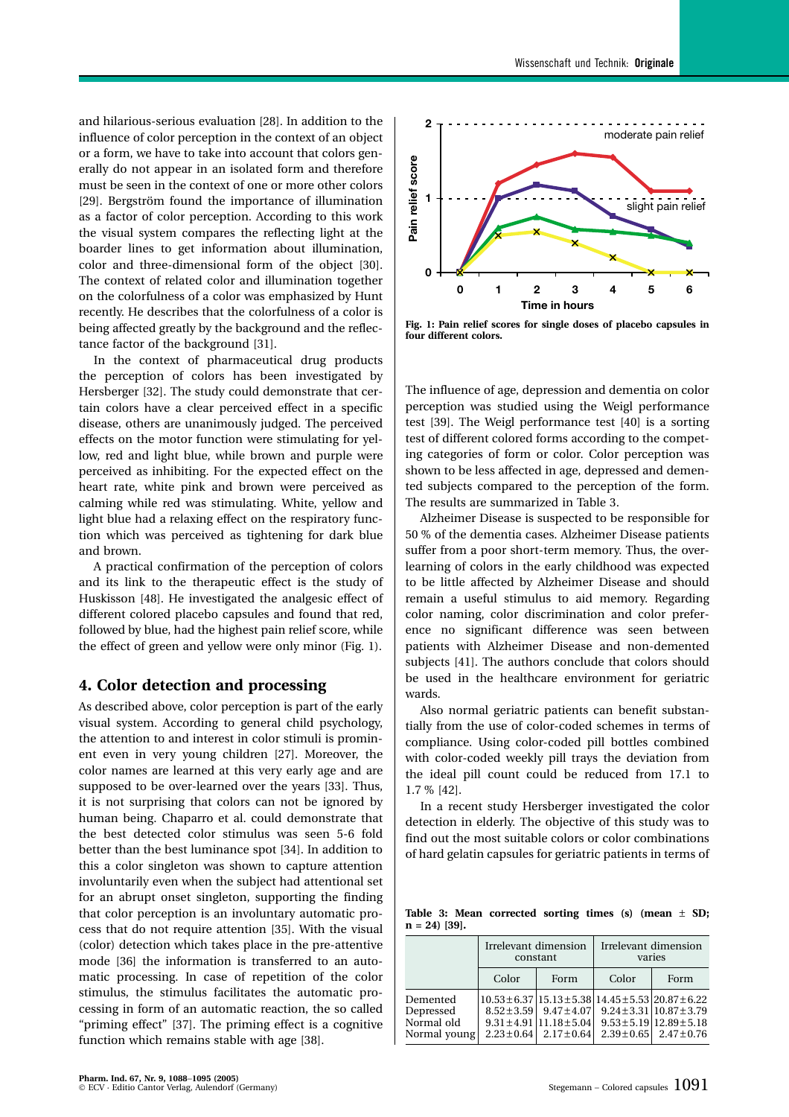and hilarious-serious evaluation [28]. In addition to the influence of color perception in the context of an object or a form, we have to take into account that colors generally do not appear in an isolated form and therefore must be seen in the context of one or more other colors [29]. Bergström found the importance of illumination as a factor of color perception. According to this work the visual system compares the reflecting light at the boarder lines to get information about illumination, color and three-dimensional form of the object [30]. The context of related color and illumination together on the colorfulness of a color was emphasized by Hunt recently. He describes that the colorfulness of a color is being affected greatly by the background and the reflectance factor of the background [31].

In the context of pharmaceutical drug products the perception of colors has been investigated by Hersberger [32]. The study could demonstrate that certain colors have a clear perceived effect in a specific disease, others are unanimously judged. The perceived effects on the motor function were stimulating for yellow, red and light blue, while brown and purple were perceived as inhibiting. For the expected effect on the heart rate, white pink and brown were perceived as calming while red was stimulating. White, yellow and light blue had a relaxing effect on the respiratory function which was perceived as tightening for dark blue and brown.

A practical confirmation of the perception of colors and its link to the therapeutic effect is the study of Huskisson [48]. He investigated the analgesic effect of different colored placebo capsules and found that red, followed by blue, had the highest pain relief score, while the effect of green and yellow were only minor (Fig. 1).

## **4. Color detection and processing**

As described above, color perception is part of the early visual system. According to general child psychology, the attention to and interest in color stimuli is prominent even in very young children [27]. Moreover, the color names are learned at this very early age and are supposed to be over-learned over the years [33]. Thus, it is not surprising that colors can not be ignored by human being. Chaparro et al. could demonstrate that the best detected color stimulus was seen 5-6 fold better than the best luminance spot [34]. In addition to this a color singleton was shown to capture attention involuntarily even when the subject had attentional set for an abrupt onset singleton, supporting the finding that color perception is an involuntary automatic process that do not require attention [35]. With the visual (color) detection which takes place in the pre-attentive mode [36] the information is transferred to an automatic processing. In case of repetition of the color stimulus, the stimulus facilitates the automatic processing in form of an automatic reaction, the so called "priming effect" [37]. The priming effect is a cognitive function which remains stable with age [38].



**Fig. 1: Pain relief scores for single doses of placebo capsules in four different colors.**

The influence of age, depression and dementia on color perception was studied using the Weigl performance test [39]. The Weigl performance test [40] is a sorting test of different colored forms according to the competing categories of form or color. Color perception was shown to be less affected in age, depressed and demented subjects compared to the perception of the form. The results are summarized in Table 3.

Alzheimer Disease is suspected to be responsible for 50 % of the dementia cases. Alzheimer Disease patients suffer from a poor short-term memory. Thus, the overlearning of colors in the early childhood was expected to be little affected by Alzheimer Disease and should remain a useful stimulus to aid memory. Regarding color naming, color discrimination and color preference no significant difference was seen between patients with Alzheimer Disease and non-demented subjects [41]. The authors conclude that colors should be used in the healthcare environment for geriatric wards.

Also normal geriatric patients can benefit substantially from the use of color-coded schemes in terms of compliance. Using color-coded pill bottles combined with color-coded weekly pill trays the deviation from the ideal pill count could be reduced from 17.1 to 1.7 % [42].

In a recent study Hersberger investigated the color detection in elderly. The objective of this study was to find out the most suitable colors or color combinations of hard gelatin capsules for geriatric patients in terms of

**Table 3: Mean corrected sorting times (s) (mean** ± **SD; n = 24) [39].**

|                                                     | Irrelevant dimension<br>constant |                                                                                                                    | Irrelevant dimension<br>varies                                               |                                                                                                              |  |  |  |
|-----------------------------------------------------|----------------------------------|--------------------------------------------------------------------------------------------------------------------|------------------------------------------------------------------------------|--------------------------------------------------------------------------------------------------------------|--|--|--|
|                                                     | Color                            | Form                                                                                                               | Color                                                                        | Form                                                                                                         |  |  |  |
| Demented<br>Depressed<br>Normal old<br>Normal young |                                  | $8.52 \pm 3.59$   $9.47 \pm 4.07$<br>$9.31 \pm 4.91 \mid 11.18 \pm 5.04 \mid$<br>$2.23 \pm 0.64$   $2.17 \pm 0.64$ | $10.53 \pm 6.37 \mid 15.13 \pm 5.38 \mid 14.45 \pm 5.53 \mid 20.87 \pm 6.22$ | $9.24 \pm 3.31   10.87 \pm 3.79$<br>$9.53 \pm 5.19 \mid 12.89 \pm 5.18$<br>$2.39 \pm 0.65$   $2.47 \pm 0.76$ |  |  |  |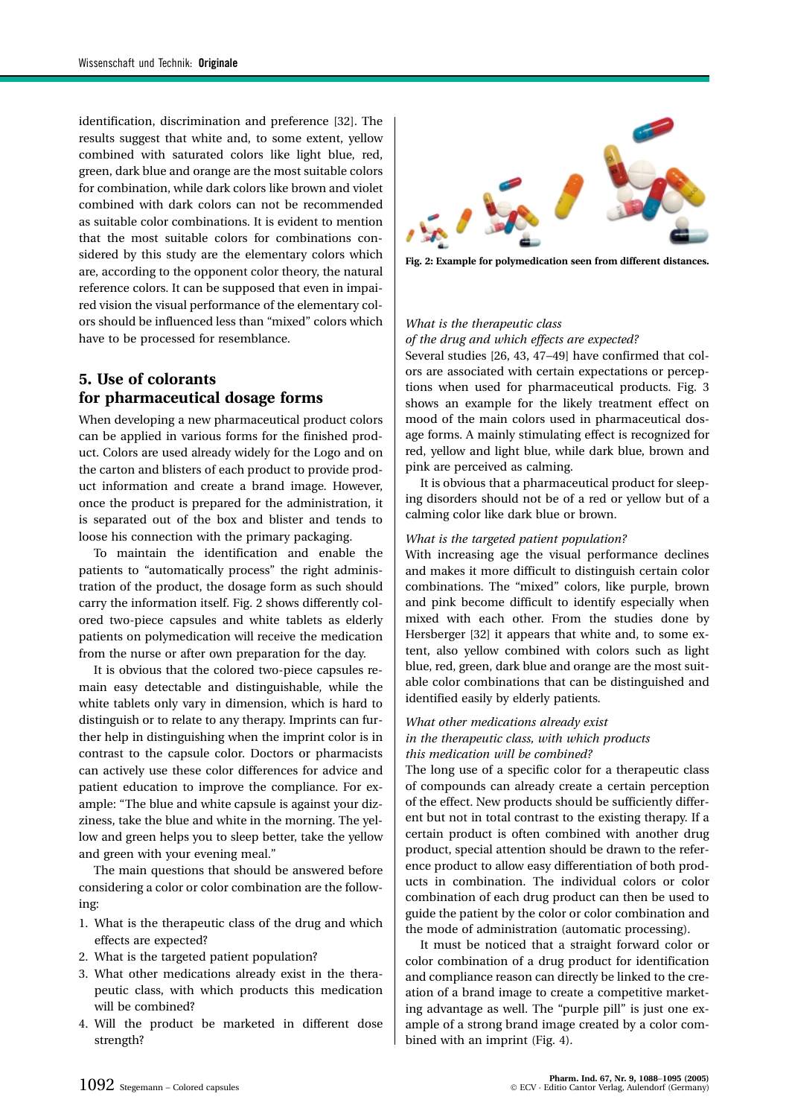identification, discrimination and preference [32]. The results suggest that white and, to some extent, yellow combined with saturated colors like light blue, red, green, dark blue and orange are the most suitable colors for combination, while dark colors like brown and violet combined with dark colors can not be recommended as suitable color combinations. It is evident to mention that the most suitable colors for combinations considered by this study are the elementary colors which are, according to the opponent color theory, the natural reference colors. It can be supposed that even in impaired vision the visual performance of the elementary colors should be influenced less than "mixed" colors which have to be processed for resemblance.

# **5. Use of colorants for pharmaceutical dosage forms**

When developing a new pharmaceutical product colors can be applied in various forms for the finished product. Colors are used already widely for the Logo and on the carton and blisters of each product to provide product information and create a brand image. However, once the product is prepared for the administration, it is separated out of the box and blister and tends to loose his connection with the primary packaging.

To maintain the identification and enable the patients to "automatically process" the right administration of the product, the dosage form as such should carry the information itself. Fig. 2 shows differently colored two-piece capsules and white tablets as elderly patients on polymedication will receive the medication from the nurse or after own preparation for the day.

It is obvious that the colored two-piece capsules remain easy detectable and distinguishable, while the white tablets only vary in dimension, which is hard to distinguish or to relate to any therapy. Imprints can further help in distinguishing when the imprint color is in contrast to the capsule color. Doctors or pharmacists can actively use these color differences for advice and patient education to improve the compliance. For example: "The blue and white capsule is against your dizziness, take the blue and white in the morning. The yellow and green helps you to sleep better, take the yellow and green with your evening meal."

The main questions that should be answered before considering a color or color combination are the following:

- 1. What is the therapeutic class of the drug and which effects are expected?
- 2. What is the targeted patient population?
- 3. What other medications already exist in the therapeutic class, with which products this medication will be combined?
- 4. Will the product be marketed in different dose strength?



**Fig. 2: Example for polymedication seen from different distances.**

# *What is the therapeutic class*

*of the drug and which effects are expected?* Several studies [26, 43, 47−49] have confirmed that colors are associated with certain expectations or perceptions when used for pharmaceutical products. Fig. 3 shows an example for the likely treatment effect on mood of the main colors used in pharmaceutical dosage forms. A mainly stimulating effect is recognized for red, yellow and light blue, while dark blue, brown and pink are perceived as calming.

It is obvious that a pharmaceutical product for sleeping disorders should not be of a red or yellow but of a calming color like dark blue or brown.

#### *What is the targeted patient population?*

With increasing age the visual performance declines and makes it more difficult to distinguish certain color combinations. The "mixed" colors, like purple, brown and pink become difficult to identify especially when mixed with each other. From the studies done by Hersberger [32] it appears that white and, to some extent, also yellow combined with colors such as light blue, red, green, dark blue and orange are the most suitable color combinations that can be distinguished and identified easily by elderly patients.

## *What other medications already exist in the therapeutic class, with which products this medication will be combined?*

The long use of a specific color for a therapeutic class of compounds can already create a certain perception of the effect. New products should be sufficiently different but not in total contrast to the existing therapy. If a certain product is often combined with another drug product, special attention should be drawn to the reference product to allow easy differentiation of both products in combination. The individual colors or color combination of each drug product can then be used to guide the patient by the color or color combination and the mode of administration (automatic processing).

It must be noticed that a straight forward color or color combination of a drug product for identification and compliance reason can directly be linked to the creation of a brand image to create a competitive marketing advantage as well. The "purple pill" is just one example of a strong brand image created by a color combined with an imprint (Fig. 4).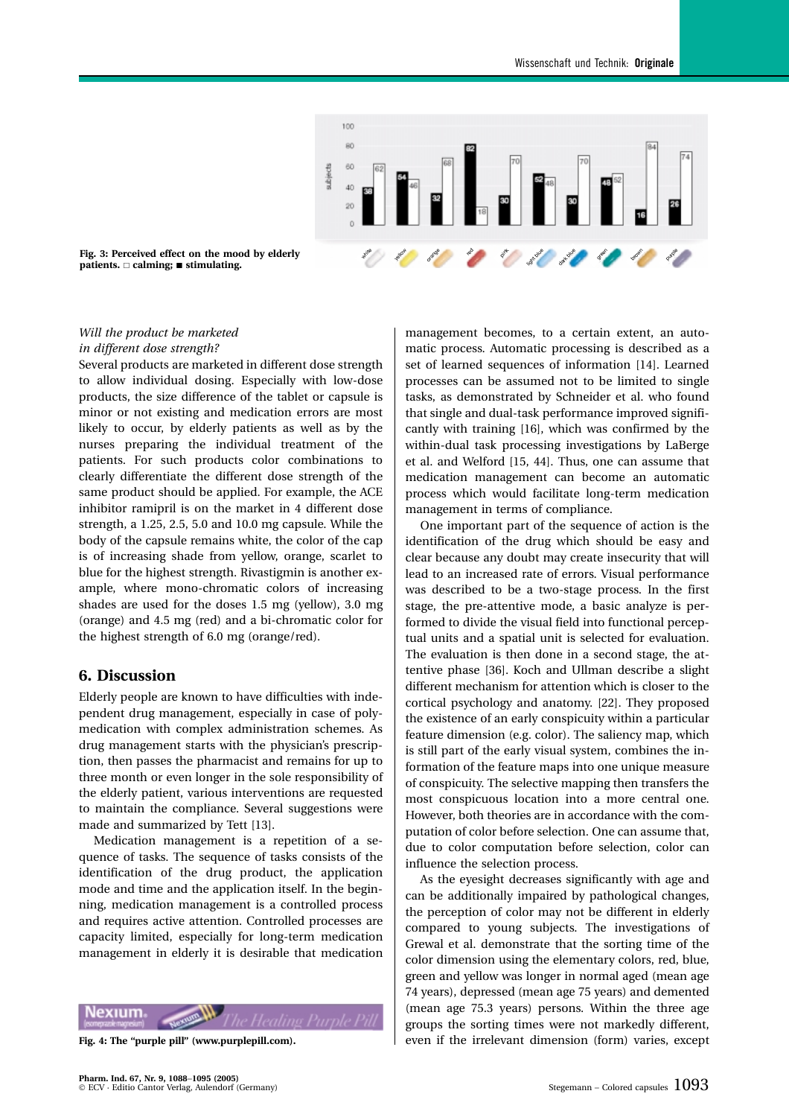

**Fig. 3: Perceived effect on the mood by elderly patients.** - **calming; stimulating.**

## *Will the product be marketed in different dose strength?*

Several products are marketed in different dose strength to allow individual dosing. Especially with low-dose products, the size difference of the tablet or capsule is minor or not existing and medication errors are most likely to occur, by elderly patients as well as by the nurses preparing the individual treatment of the patients. For such products color combinations to clearly differentiate the different dose strength of the same product should be applied. For example, the ACE inhibitor ramipril is on the market in 4 different dose strength, a 1.25, 2.5, 5.0 and 10.0 mg capsule. While the body of the capsule remains white, the color of the cap is of increasing shade from yellow, orange, scarlet to blue for the highest strength. Rivastigmin is another example, where mono-chromatic colors of increasing shades are used for the doses 1.5 mg (yellow), 3.0 mg (orange) and 4.5 mg (red) and a bi-chromatic color for the highest strength of 6.0 mg (orange/red).

## **6. Discussion**

Elderly people are known to have difficulties with independent drug management, especially in case of polymedication with complex administration schemes. As drug management starts with the physician's prescription, then passes the pharmacist and remains for up to three month or even longer in the sole responsibility of the elderly patient, various interventions are requested to maintain the compliance. Several suggestions were made and summarized by Tett [13].

Medication management is a repetition of a sequence of tasks. The sequence of tasks consists of the identification of the drug product, the application mode and time and the application itself. In the beginning, medication management is a controlled process and requires active attention. Controlled processes are capacity limited, especially for long-term medication management in elderly it is desirable that medication

exium

**Fig. 4: The "purple pill" (www.purplepill.com).**

management becomes, to a certain extent, an automatic process. Automatic processing is described as a set of learned sequences of information [14]. Learned processes can be assumed not to be limited to single tasks, as demonstrated by Schneider et al. who found that single and dual-task performance improved significantly with training [16], which was confirmed by the within-dual task processing investigations by LaBerge et al. and Welford [15, 44]. Thus, one can assume that medication management can become an automatic process which would facilitate long-term medication management in terms of compliance.

One important part of the sequence of action is the identification of the drug which should be easy and clear because any doubt may create insecurity that will lead to an increased rate of errors. Visual performance was described to be a two-stage process. In the first stage, the pre-attentive mode, a basic analyze is performed to divide the visual field into functional perceptual units and a spatial unit is selected for evaluation. The evaluation is then done in a second stage, the attentive phase [36]. Koch and Ullman describe a slight different mechanism for attention which is closer to the cortical psychology and anatomy. [22]. They proposed the existence of an early conspicuity within a particular feature dimension (e.g. color). The saliency map, which is still part of the early visual system, combines the information of the feature maps into one unique measure of conspicuity. The selective mapping then transfers the most conspicuous location into a more central one. However, both theories are in accordance with the computation of color before selection. One can assume that, due to color computation before selection, color can influence the selection process.

As the eyesight decreases significantly with age and can be additionally impaired by pathological changes, the perception of color may not be different in elderly compared to young subjects. The investigations of Grewal et al. demonstrate that the sorting time of the color dimension using the elementary colors, red, blue, green and yellow was longer in normal aged (mean age 74 years), depressed (mean age 75 years) and demented (mean age 75.3 years) persons. Within the three age groups the sorting times were not markedly different, even if the irrelevant dimension (form) varies, except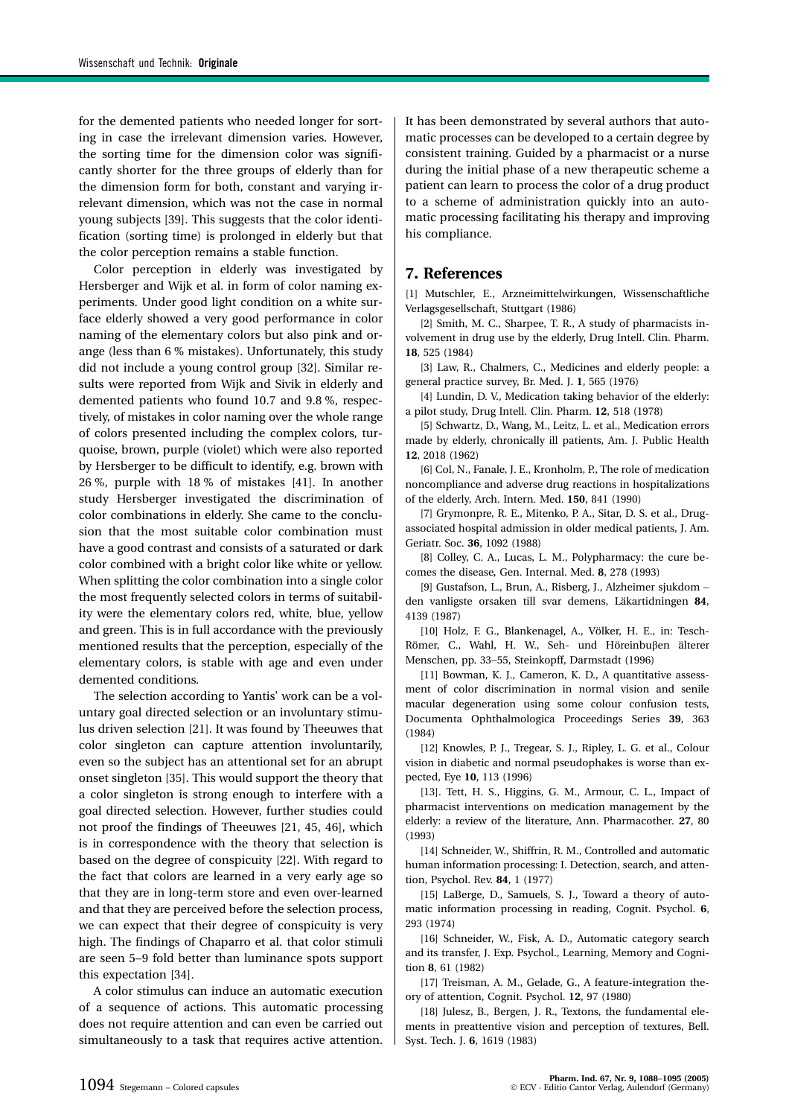for the demented patients who needed longer for sorting in case the irrelevant dimension varies. However, the sorting time for the dimension color was significantly shorter for the three groups of elderly than for the dimension form for both, constant and varying irrelevant dimension, which was not the case in normal young subjects [39]. This suggests that the color identification (sorting time) is prolonged in elderly but that the color perception remains a stable function.

Color perception in elderly was investigated by Hersberger and Wijk et al. in form of color naming experiments. Under good light condition on a white surface elderly showed a very good performance in color naming of the elementary colors but also pink and orange (less than 6 % mistakes). Unfortunately, this study did not include a young control group [32]. Similar results were reported from Wijk and Sivik in elderly and demented patients who found 10.7 and 9.8 %, respectively, of mistakes in color naming over the whole range of colors presented including the complex colors, turquoise, brown, purple (violet) which were also reported by Hersberger to be difficult to identify, e.g. brown with 26 %, purple with 18 % of mistakes [41]. In another study Hersberger investigated the discrimination of color combinations in elderly. She came to the conclusion that the most suitable color combination must have a good contrast and consists of a saturated or dark color combined with a bright color like white or yellow. When splitting the color combination into a single color the most frequently selected colors in terms of suitability were the elementary colors red, white, blue, yellow and green. This is in full accordance with the previously mentioned results that the perception, especially of the elementary colors, is stable with age and even under demented conditions.

The selection according to Yantis' work can be a voluntary goal directed selection or an involuntary stimulus driven selection [21]. It was found by Theeuwes that color singleton can capture attention involuntarily, even so the subject has an attentional set for an abrupt onset singleton [35]. This would support the theory that a color singleton is strong enough to interfere with a goal directed selection. However, further studies could not proof the findings of Theeuwes [21, 45, 46], which is in correspondence with the theory that selection is based on the degree of conspicuity [22]. With regard to the fact that colors are learned in a very early age so that they are in long-term store and even over-learned and that they are perceived before the selection process, we can expect that their degree of conspicuity is very high. The findings of Chaparro et al. that color stimuli are seen 5−9 fold better than luminance spots support this expectation [34].

A color stimulus can induce an automatic execution of a sequence of actions. This automatic processing does not require attention and can even be carried out simultaneously to a task that requires active attention.

It has been demonstrated by several authors that automatic processes can be developed to a certain degree by consistent training. Guided by a pharmacist or a nurse during the initial phase of a new therapeutic scheme a patient can learn to process the color of a drug product to a scheme of administration quickly into an automatic processing facilitating his therapy and improving his compliance.

## **7. References**

[1] Mutschler, E., Arzneimittelwirkungen, Wissenschaftliche Verlagsgesellschaft, Stuttgart (1986)

[2] Smith, M. C., Sharpee, T. R., A study of pharmacists involvement in drug use by the elderly, Drug Intell. Clin. Pharm. **18**, 525 (1984)

[3] Law, R., Chalmers, C., Medicines and elderly people: a general practice survey, Br. Med. J. **1**, 565 (1976)

[4] Lundin, D. V., Medication taking behavior of the elderly: a pilot study, Drug Intell. Clin. Pharm. **12**, 518 (1978)

[5] Schwartz, D., Wang, M., Leitz, L. et al., Medication errors made by elderly, chronically ill patients, Am. J. Public Health **12**, 2018 (1962)

[6] Col, N., Fanale, J. E., Kronholm, P., The role of medication noncompliance and adverse drug reactions in hospitalizations of the elderly, Arch. Intern. Med. **150**, 841 (1990)

[7] Grymonpre, R. E., Mitenko, P. A., Sitar, D. S. et al., Drugassociated hospital admission in older medical patients, J. Am. Geriatr. Soc. **36**, 1092 (1988)

[8] Colley, C. A., Lucas, L. M., Polypharmacy: the cure becomes the disease, Gen. Internal. Med. **8**, 278 (1993)

[9] Gustafson, L., Brun, A., Risberg, J., Alzheimer sjukdom − den vanligste orsaken till svar demens, Läkartidningen **84**, 4139 (1987)

[10] Holz, F. G., Blankenagel, A., Völker, H. E., in: Tesch-Römer, C., Wahl, H. W., Seh- und Höreinbuβen älterer Menschen, pp. 33−55, Steinkopff, Darmstadt (1996)

[11] Bowman, K. J., Cameron, K. D., A quantitative assessment of color discrimination in normal vision and senile macular degeneration using some colour confusion tests, Documenta Ophthalmologica Proceedings Series **39**, 363 (1984)

[12] Knowles, P. J., Tregear, S. J., Ripley, L. G. et al., Colour vision in diabetic and normal pseudophakes is worse than expected, Eye **10**, 113 (1996)

[13]. Tett, H. S., Higgins, G. M., Armour, C. L., Impact of pharmacist interventions on medication management by the elderly: a review of the literature, Ann. Pharmacother. **27**, 80 (1993)

[14] Schneider, W., Shiffrin, R. M., Controlled and automatic human information processing: I. Detection, search, and attention, Psychol. Rev. **84**, 1 (1977)

[15] LaBerge, D., Samuels, S. J., Toward a theory of automatic information processing in reading, Cognit. Psychol. **6**, 293 (1974)

[16] Schneider, W., Fisk, A. D., Automatic category search and its transfer, J. Exp. Psychol., Learning, Memory and Cognition **8**, 61 (1982)

[17] Treisman, A. M., Gelade, G., A feature-integration theory of attention, Cognit. Psychol. **12**, 97 (1980)

[18] Julesz, B., Bergen, J. R., Textons, the fundamental elements in preattentive vision and perception of textures, Bell. Syst. Tech. J. **6**, 1619 (1983)